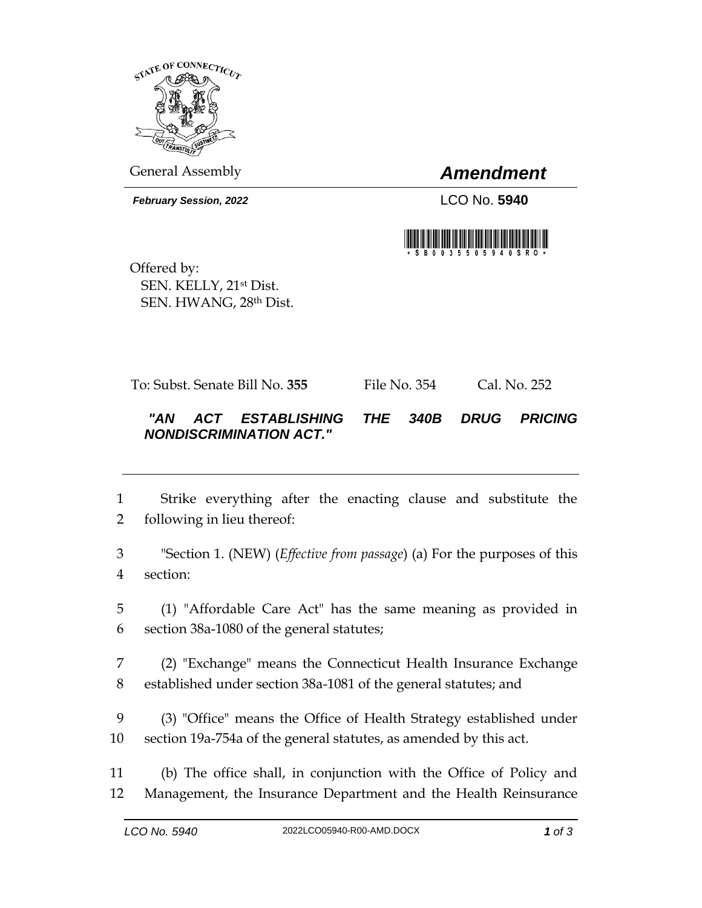

General Assembly *Amendment*

*February Session, 2022* LCO No. **5940**



Offered by: SEN. KELLY, 21st Dist. SEN. HWANG, 28th Dist.

To: Subst. Senate Bill No. **355** File No. 354 Cal. No. 252

## *"AN ACT ESTABLISHING THE 340B DRUG PRICING NONDISCRIMINATION ACT."*

- 1 Strike everything after the enacting clause and substitute the 2 following in lieu thereof:
- 3 "Section 1. (NEW) (*Effective from passage*) (a) For the purposes of this 4 section:
- 5 (1) "Affordable Care Act" has the same meaning as provided in 6 section 38a-1080 of the general statutes;
- 7 (2) "Exchange" means the Connecticut Health Insurance Exchange 8 established under section 38a-1081 of the general statutes; and
- 9 (3) "Office" means the Office of Health Strategy established under 10 section 19a-754a of the general statutes, as amended by this act.
- 11 (b) The office shall, in conjunction with the Office of Policy and 12 Management, the Insurance Department and the Health Reinsurance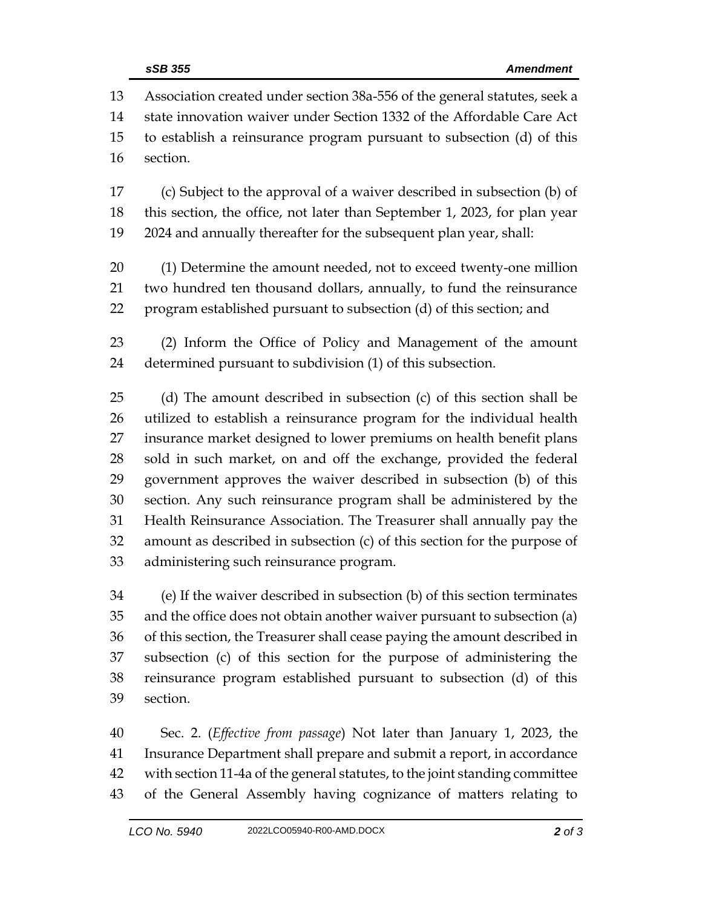Association created under section 38a-556 of the general statutes, seek a state innovation waiver under Section 1332 of the Affordable Care Act to establish a reinsurance program pursuant to subsection (d) of this section.

 (c) Subject to the approval of a waiver described in subsection (b) of this section, the office, not later than September 1, 2023, for plan year 2024 and annually thereafter for the subsequent plan year, shall:

- (1) Determine the amount needed, not to exceed twenty-one million two hundred ten thousand dollars, annually, to fund the reinsurance program established pursuant to subsection (d) of this section; and
- (2) Inform the Office of Policy and Management of the amount determined pursuant to subdivision (1) of this subsection.

 (d) The amount described in subsection (c) of this section shall be utilized to establish a reinsurance program for the individual health insurance market designed to lower premiums on health benefit plans sold in such market, on and off the exchange, provided the federal government approves the waiver described in subsection (b) of this section. Any such reinsurance program shall be administered by the Health Reinsurance Association. The Treasurer shall annually pay the amount as described in subsection (c) of this section for the purpose of administering such reinsurance program.

 (e) If the waiver described in subsection (b) of this section terminates and the office does not obtain another waiver pursuant to subsection (a) of this section, the Treasurer shall cease paying the amount described in subsection (c) of this section for the purpose of administering the reinsurance program established pursuant to subsection (d) of this section.

 Sec. 2. (*Effective from passage*) Not later than January 1, 2023, the Insurance Department shall prepare and submit a report, in accordance with section 11-4a of the general statutes, to the joint standing committee of the General Assembly having cognizance of matters relating to